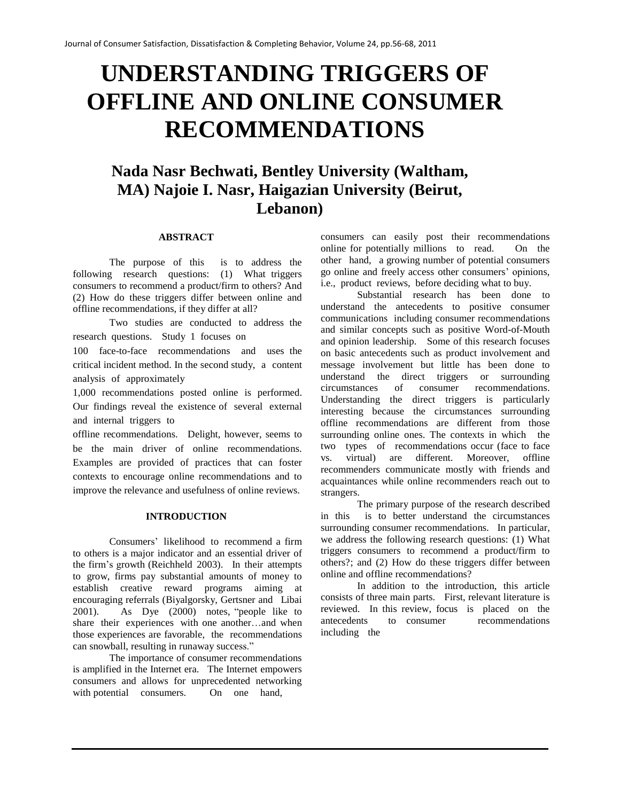# **UNDERSTANDING TRIGGERS OF OFFLINE AND ONLINE CONSUMER RECOMMENDATIONS**

# **Nada Nasr Bechwati, Bentley University (Waltham, MA) Najoie I. Nasr, Haigazian University (Beirut, Lebanon)**

#### **ABSTRACT**

The purpose of this is to address the following research questions: (1) What triggers consumers to recommend a product/firm to others? And (2) How do these triggers differ between online and offline recommendations, if they differ at all?

Two studies are conducted to address the research questions. Study 1 focuses on

100 face-to-face recommendations and uses the critical incident method. In the second study, a content analysis of approximately

1,000 recommendations posted online is performed. Our findings reveal the existence of several external and internal triggers to

offline recommendations. Delight, however, seems to be the main driver of online recommendations. Examples are provided of practices that can foster contexts to encourage online recommendations and to improve the relevance and usefulness of online reviews.

#### **INTRODUCTION**

Consumers' likelihood to recommend a firm to others is a major indicator and an essential driver of the firm's growth (Reichheld 2003). In their attempts to grow, firms pay substantial amounts of money to establish creative reward programs aiming at encouraging referrals (Biyalgorsky, Gertsner and Libai 2001). As Dye (2000) notes, "people like to share their experiences with one another…and when those experiences are favorable, the recommendations can snowball, resulting in runaway success."

The importance of consumer recommendations is amplified in the Internet era. The Internet empowers consumers and allows for unprecedented networking with potential consumers. On one hand,

consumers can easily post their recommendations online for potentially millions to read. On the other hand, a growing number of potential consumers go online and freely access other consumers' opinions, i.e., product reviews, before deciding what to buy.

Substantial research has been done to understand the antecedents to positive consumer communications including consumer recommendations and similar concepts such as positive Word-of-Mouth and opinion leadership. Some of this research focuses on basic antecedents such as product involvement and message involvement but little has been done to understand the direct triggers or surrounding circumstances of consumer recommendations. Understanding the direct triggers is particularly interesting because the circumstances surrounding offline recommendations are different from those surrounding online ones. The contexts in which the two types of recommendations occur (face to face vs. virtual) are different. Moreover, offline recommenders communicate mostly with friends and acquaintances while online recommenders reach out to strangers.

The primary purpose of the research described in this is to better understand the circumstances surrounding consumer recommendations. In particular, we address the following research questions: (1) What triggers consumers to recommend a product/firm to others?; and (2) How do these triggers differ between online and offline recommendations?

In addition to the introduction, this article consists of three main parts. First, relevant literature is reviewed. In this review, focus is placed on the antecedents to consumer recommendations including the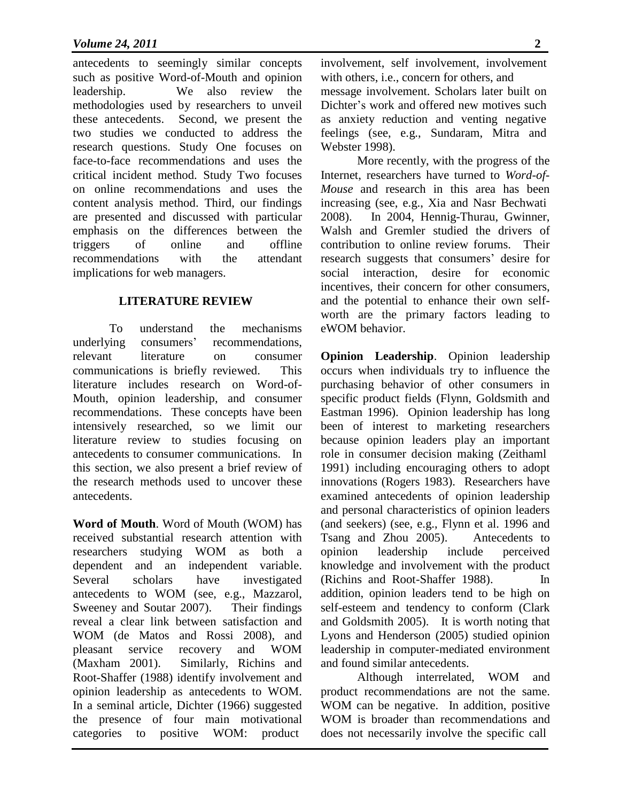antecedents to seemingly similar concepts such as positive Word-of-Mouth and opinion leadership. We also review the methodologies used by researchers to unveil these antecedents. Second, we present the two studies we conducted to address the research questions. Study One focuses on face-to-face recommendations and uses the critical incident method. Study Two focuses on online recommendations and uses the content analysis method. Third, our findings are presented and discussed with particular emphasis on the differences between the triggers of online and offline recommendations with the attendant implications for web managers.

#### **LITERATURE REVIEW**

To understand the mechanisms underlying consumers' recommendations, relevant literature on consumer communications is briefly reviewed. This literature includes research on Word-of-Mouth, opinion leadership, and consumer recommendations. These concepts have been intensively researched, so we limit our literature review to studies focusing on antecedents to consumer communications. In this section, we also present a brief review of the research methods used to uncover these antecedents.

**Word of Mouth**. Word of Mouth (WOM) has received substantial research attention with researchers studying WOM as both a dependent and an independent variable. Several scholars have investigated antecedents to WOM (see, e.g., Mazzarol, Sweeney and Soutar 2007). Their findings reveal a clear link between satisfaction and WOM (de Matos and Rossi 2008), and pleasant service recovery and WOM (Maxham 2001). Similarly, Richins and Root-Shaffer (1988) identify involvement and opinion leadership as antecedents to WOM. In a seminal article, Dichter (1966) suggested the presence of four main motivational categories to positive WOM: product

involvement, self involvement, involvement with others, i.e., concern for others, and

message involvement. Scholars later built on Dichter's work and offered new motives such as anxiety reduction and venting negative feelings (see, e.g., Sundaram, Mitra and Webster 1998).

More recently, with the progress of the Internet, researchers have turned to *Word-of-Mouse* and research in this area has been increasing (see, e.g., Xia and Nasr Bechwati 2008). In 2004, Hennig-Thurau, Gwinner, Walsh and Gremler studied the drivers of contribution to online review forums. Their research suggests that consumers' desire for social interaction, desire for economic incentives, their concern for other consumers, and the potential to enhance their own selfworth are the primary factors leading to eWOM behavior.

**Opinion Leadership**. Opinion leadership occurs when individuals try to influence the purchasing behavior of other consumers in specific product fields (Flynn, Goldsmith and Eastman 1996). Opinion leadership has long been of interest to marketing researchers because opinion leaders play an important role in consumer decision making (Zeithaml 1991) including encouraging others to adopt innovations (Rogers 1983). Researchers have examined antecedents of opinion leadership and personal characteristics of opinion leaders (and seekers) (see, e.g., Flynn et al. 1996 and Tsang and Zhou 2005). Antecedents to opinion leadership include perceived knowledge and involvement with the product (Richins and Root-Shaffer 1988). In addition, opinion leaders tend to be high on self-esteem and tendency to conform (Clark and Goldsmith 2005). It is worth noting that Lyons and Henderson (2005) studied opinion leadership in computer-mediated environment and found similar antecedents.

Although interrelated, WOM and product recommendations are not the same. WOM can be negative. In addition, positive WOM is broader than recommendations and does not necessarily involve the specific call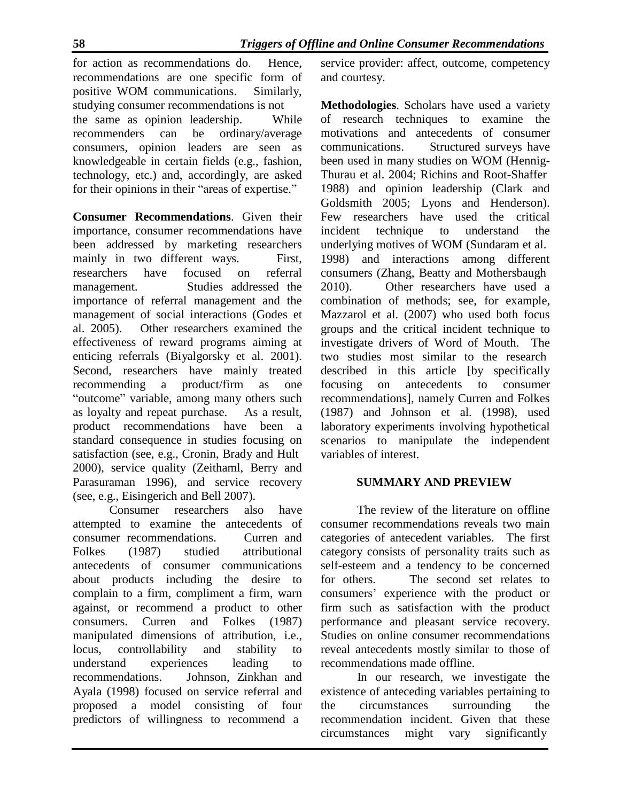for action as recommendations do. Hence, recommendations are one specific form of positive WOM communications. Similarly, studying consumer recommendations is not the same as opinion leadership. While recommenders can be ordinary/average consumers, opinion leaders are seen as knowledgeable in certain fields (e.g., fashion, technology, etc.) and, accordingly, are asked for their opinions in their "areas of expertise."

**Consumer Recommendations**. Given their importance, consumer recommendations have been addressed by marketing researchers mainly in two different ways. First, researchers have focused on referral management. Studies addressed the importance of referral management and the management of social interactions (Godes et al. 2005). Other researchers examined the effectiveness of reward programs aiming at enticing referrals (Biyalgorsky et al. 2001). Second, researchers have mainly treated recommending a product/firm as one "outcome" variable, among many others such as loyalty and repeat purchase. As a result, product recommendations have been a standard consequence in studies focusing on satisfaction (see, e.g., Cronin, Brady and Hult 2000), service quality (Zeithaml, Berry and Parasuraman 1996), and service recovery (see, e.g., Eisingerich and Bell 2007).

Consumer researchers also have attempted to examine the antecedents of consumer recommendations. Curren and Folkes (1987) studied attributional antecedents of consumer communications about products including the desire to complain to a firm, compliment a firm, warn against, or recommend a product to other consumers. Curren and Folkes (1987) manipulated dimensions of attribution, i.e., locus, controllability and stability to understand experiences leading to recommendations. Johnson, Zinkhan and Ayala (1998) focused on service referral and proposed a model consisting of four predictors of willingness to recommend a

service provider: affect, outcome, competency and courtesy.

**Methodologies**. Scholars have used a variety of research techniques to examine the motivations and antecedents of consumer communications. Structured surveys have been used in many studies on WOM (Hennig-Thurau et al. 2004; Richins and Root-Shaffer 1988) and opinion leadership (Clark and Goldsmith 2005; Lyons and Henderson). Few researchers have used the critical incident technique to understand the underlying motives of WOM (Sundaram et al. 1998) and interactions among different consumers (Zhang, Beatty and Mothersbaugh 2010). Other researchers have used a combination of methods; see, for example, Mazzarol et al. (2007) who used both focus groups and the critical incident technique to investigate drivers of Word of Mouth. The two studies most similar to the research described in this article [by specifically focusing on antecedents to consumer recommendations], namely Curren and Folkes (1987) and Johnson et al. (1998), used laboratory experiments involving hypothetical scenarios to manipulate the independent variables of interest.

#### **SUMMARY AND PREVIEW**

The review of the literature on offline consumer recommendations reveals two main categories of antecedent variables. The first category consists of personality traits such as self-esteem and a tendency to be concerned for others. The second set relates to consumers' experience with the product or firm such as satisfaction with the product performance and pleasant service recovery. Studies on online consumer recommendations reveal antecedents mostly similar to those of recommendations made offline.

In our research, we investigate the existence of anteceding variables pertaining to the circumstances surrounding the recommendation incident. Given that these circumstances might vary significantly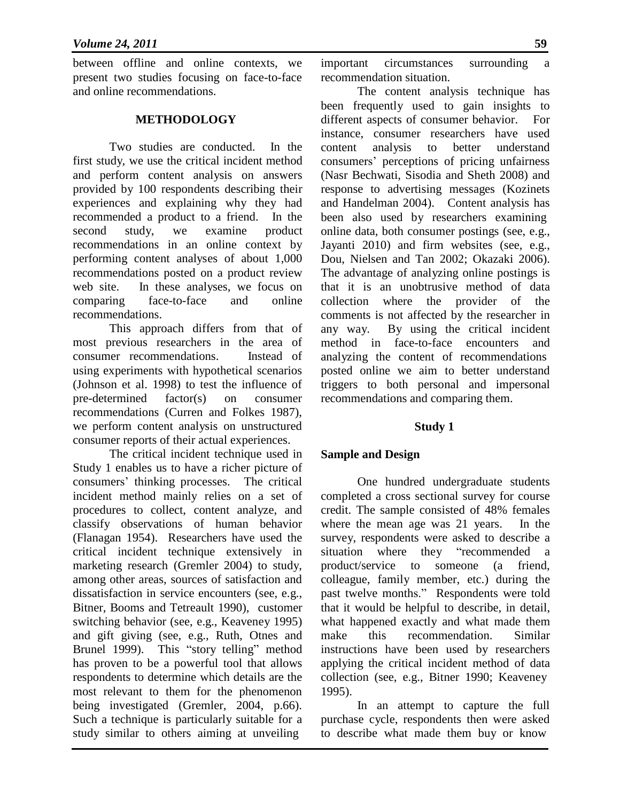between offline and online contexts, we present two studies focusing on face-to-face and online recommendations.

#### **METHODOLOGY**

Two studies are conducted. In the first study, we use the critical incident method and perform content analysis on answers provided by 100 respondents describing their experiences and explaining why they had recommended a product to a friend. In the second study, we examine product recommendations in an online context by performing content analyses of about 1,000 recommendations posted on a product review web site. In these analyses, we focus on comparing face-to-face and online recommendations.

This approach differs from that of most previous researchers in the area of consumer recommendations. Instead of using experiments with hypothetical scenarios (Johnson et al. 1998) to test the influence of pre-determined factor(s) on consumer recommendations (Curren and Folkes 1987), we perform content analysis on unstructured consumer reports of their actual experiences.

The critical incident technique used in Study 1 enables us to have a richer picture of consumers' thinking processes. The critical incident method mainly relies on a set of procedures to collect, content analyze, and classify observations of human behavior (Flanagan 1954). Researchers have used the critical incident technique extensively in marketing research (Gremler 2004) to study, among other areas, sources of satisfaction and dissatisfaction in service encounters (see, e.g., Bitner, Booms and Tetreault 1990), customer switching behavior (see, e.g., Keaveney 1995) and gift giving (see, e.g., Ruth, Otnes and Brunel 1999). This "story telling" method has proven to be a powerful tool that allows respondents to determine which details are the most relevant to them for the phenomenon being investigated (Gremler, 2004, p.66). Such a technique is particularly suitable for a study similar to others aiming at unveiling

important circumstances surrounding a recommendation situation.

The content analysis technique has been frequently used to gain insights to different aspects of consumer behavior. For instance, consumer researchers have used content analysis to better understand consumers' perceptions of pricing unfairness (Nasr Bechwati, Sisodia and Sheth 2008) and response to advertising messages (Kozinets and Handelman 2004). Content analysis has been also used by researchers examining online data, both consumer postings (see, e.g., Jayanti 2010) and firm websites (see, e.g., Dou, Nielsen and Tan 2002; Okazaki 2006). The advantage of analyzing online postings is that it is an unobtrusive method of data collection where the provider of the comments is not affected by the researcher in any way. By using the critical incident method in face-to-face encounters and analyzing the content of recommendations posted online we aim to better understand triggers to both personal and impersonal recommendations and comparing them.

#### **Study 1**

#### **Sample and Design**

One hundred undergraduate students completed a cross sectional survey for course credit. The sample consisted of 48% females where the mean age was 21 years. In the survey, respondents were asked to describe a situation where they "recommended a product/service to someone (a friend, colleague, family member, etc.) during the past twelve months." Respondents were told that it would be helpful to describe, in detail, what happened exactly and what made them make this recommendation. Similar instructions have been used by researchers applying the critical incident method of data collection (see, e.g., Bitner 1990; Keaveney 1995).

In an attempt to capture the full purchase cycle, respondents then were asked to describe what made them buy or know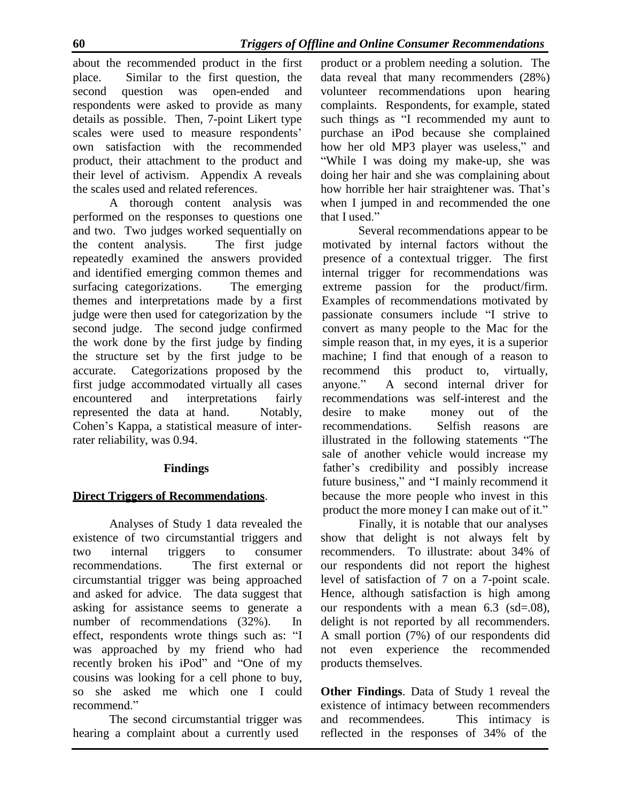about the recommended product in the first place. Similar to the first question, the second question was open-ended and respondents were asked to provide as many details as possible. Then, 7-point Likert type scales were used to measure respondents' own satisfaction with the recommended product, their attachment to the product and their level of activism. Appendix A reveals the scales used and related references.

A thorough content analysis was performed on the responses to questions one and two. Two judges worked sequentially on the content analysis. The first judge repeatedly examined the answers provided and identified emerging common themes and surfacing categorizations. The emerging themes and interpretations made by a first judge were then used for categorization by the second judge. The second judge confirmed the work done by the first judge by finding the structure set by the first judge to be accurate. Categorizations proposed by the first judge accommodated virtually all cases encountered and interpretations fairly represented the data at hand. Notably, Cohen's Kappa, a statistical measure of interrater reliability, was 0.94.

#### **Findings**

## **Direct Triggers of Recommendations**.

Analyses of Study 1 data revealed the existence of two circumstantial triggers and two internal triggers to consumer recommendations. The first external or circumstantial trigger was being approached and asked for advice. The data suggest that asking for assistance seems to generate a number of recommendations (32%). In effect, respondents wrote things such as: "I was approached by my friend who had recently broken his iPod" and "One of my cousins was looking for a cell phone to buy, so she asked me which one I could recommend."

The second circumstantial trigger was hearing a complaint about a currently used

product or a problem needing a solution. The data reveal that many recommenders (28%) volunteer recommendations upon hearing complaints. Respondents, for example, stated such things as "I recommended my aunt to purchase an iPod because she complained how her old MP3 player was useless," and "While I was doing my make-up, she was doing her hair and she was complaining about how horrible her hair straightener was. That's when I jumped in and recommended the one that I used."

Several recommendations appear to be motivated by internal factors without the presence of a contextual trigger. The first internal trigger for recommendations was extreme passion for the product/firm. Examples of recommendations motivated by passionate consumers include "I strive to convert as many people to the Mac for the simple reason that, in my eyes, it is a superior machine; I find that enough of a reason to recommend this product to, virtually, anyone." A second internal driver for recommendations was self-interest and the desire to make money out of the recommendations. Selfish reasons are illustrated in the following statements "The sale of another vehicle would increase my father's credibility and possibly increase future business," and "I mainly recommend it because the more people who invest in this product the more money I can make out of it."

Finally, it is notable that our analyses show that delight is not always felt by recommenders. To illustrate: about 34% of our respondents did not report the highest level of satisfaction of 7 on a 7-point scale. Hence, although satisfaction is high among our respondents with a mean 6.3 (sd=.08), delight is not reported by all recommenders. A small portion (7%) of our respondents did not even experience the recommended products themselves.

**Other Findings**. Data of Study 1 reveal the existence of intimacy between recommenders and recommendees. This intimacy is reflected in the responses of 34% of the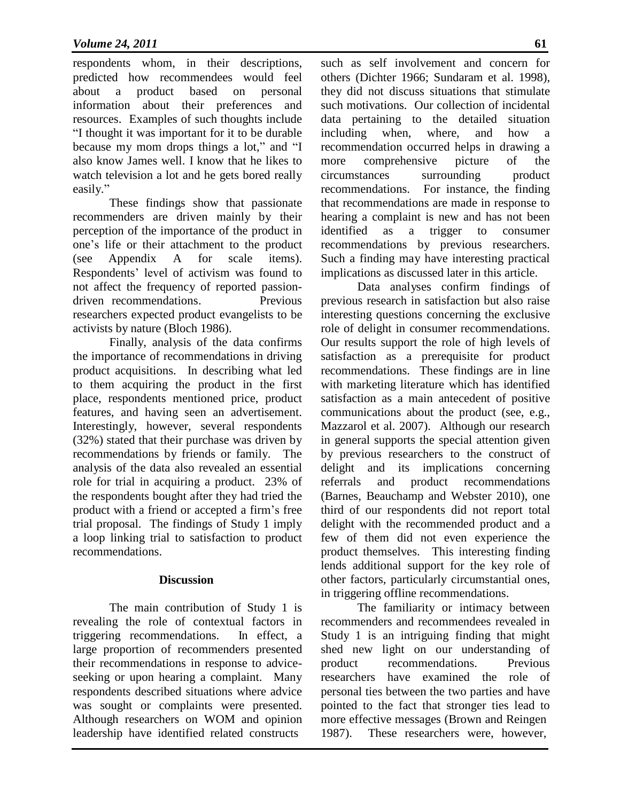respondents whom, in their descriptions, predicted how recommendees would feel about a product based on personal information about their preferences and resources. Examples of such thoughts include "I thought it was important for it to be durable because my mom drops things a lot," and "I also know James well. I know that he likes to watch television a lot and he gets bored really easily."

These findings show that passionate recommenders are driven mainly by their perception of the importance of the product in one's life or their attachment to the product (see Appendix A for scale items). Respondents' level of activism was found to not affect the frequency of reported passiondriven recommendations. Previous researchers expected product evangelists to be activists by nature (Bloch 1986).

Finally, analysis of the data confirms the importance of recommendations in driving product acquisitions. In describing what led to them acquiring the product in the first place, respondents mentioned price, product features, and having seen an advertisement. Interestingly, however, several respondents (32%) stated that their purchase was driven by recommendations by friends or family. The analysis of the data also revealed an essential role for trial in acquiring a product. 23% of the respondents bought after they had tried the product with a friend or accepted a firm's free trial proposal. The findings of Study 1 imply a loop linking trial to satisfaction to product recommendations.

#### **Discussion**

The main contribution of Study 1 is revealing the role of contextual factors in triggering recommendations. In effect, a large proportion of recommenders presented their recommendations in response to adviceseeking or upon hearing a complaint. Many respondents described situations where advice was sought or complaints were presented. Although researchers on WOM and opinion leadership have identified related constructs

such as self involvement and concern for others (Dichter 1966; Sundaram et al. 1998), they did not discuss situations that stimulate such motivations. Our collection of incidental data pertaining to the detailed situation including when, where, and how a recommendation occurred helps in drawing a more comprehensive picture of the circumstances surrounding product recommendations. For instance, the finding that recommendations are made in response to hearing a complaint is new and has not been identified as a trigger to consumer recommendations by previous researchers. Such a finding may have interesting practical implications as discussed later in this article.

Data analyses confirm findings of previous research in satisfaction but also raise interesting questions concerning the exclusive role of delight in consumer recommendations. Our results support the role of high levels of satisfaction as a prerequisite for product recommendations. These findings are in line with marketing literature which has identified satisfaction as a main antecedent of positive communications about the product (see, e.g., Mazzarol et al. 2007). Although our research in general supports the special attention given by previous researchers to the construct of delight and its implications concerning referrals and product recommendations (Barnes, Beauchamp and Webster 2010), one third of our respondents did not report total delight with the recommended product and a few of them did not even experience the product themselves. This interesting finding lends additional support for the key role of other factors, particularly circumstantial ones, in triggering offline recommendations.

The familiarity or intimacy between recommenders and recommendees revealed in Study 1 is an intriguing finding that might shed new light on our understanding of product recommendations. Previous researchers have examined the role of personal ties between the two parties and have pointed to the fact that stronger ties lead to more effective messages (Brown and Reingen 1987). These researchers were, however,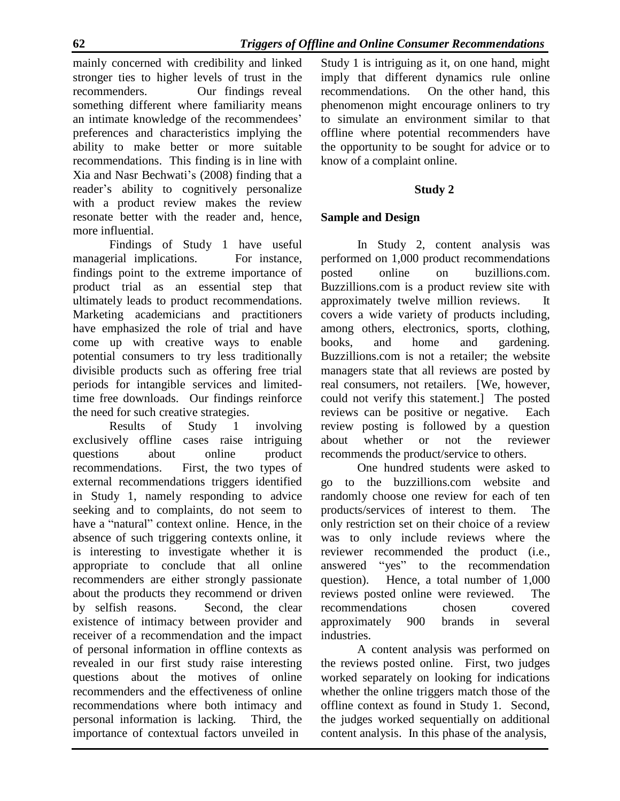mainly concerned with credibility and linked stronger ties to higher levels of trust in the recommenders. Our findings reveal something different where familiarity means an intimate knowledge of the recommendees' preferences and characteristics implying the ability to make better or more suitable recommendations. This finding is in line with Xia and Nasr Bechwati's (2008) finding that a reader's ability to cognitively personalize with a product review makes the review resonate better with the reader and, hence, more influential.

Findings of Study 1 have useful managerial implications. For instance, findings point to the extreme importance of product trial as an essential step that ultimately leads to product recommendations. Marketing academicians and practitioners have emphasized the role of trial and have come up with creative ways to enable potential consumers to try less traditionally divisible products such as offering free trial periods for intangible services and limitedtime free downloads. Our findings reinforce the need for such creative strategies.

Results of Study 1 involving exclusively offline cases raise intriguing questions about online product recommendations. First, the two types of external recommendations triggers identified in Study 1, namely responding to advice seeking and to complaints, do not seem to have a "natural" context online. Hence, in the absence of such triggering contexts online, it is interesting to investigate whether it is appropriate to conclude that all online recommenders are either strongly passionate about the products they recommend or driven by selfish reasons. Second, the clear existence of intimacy between provider and receiver of a recommendation and the impact of personal information in offline contexts as revealed in our first study raise interesting questions about the motives of online recommenders and the effectiveness of online recommendations where both intimacy and personal information is lacking. Third, the importance of contextual factors unveiled in

Study 1 is intriguing as it, on one hand, might imply that different dynamics rule online recommendations. On the other hand, this phenomenon might encourage onliners to try to simulate an environment similar to that offline where potential recommenders have the opportunity to be sought for advice or to know of a complaint online.

## **Study 2**

## **Sample and Design**

In Study 2, content analysis was performed on 1,000 product recommendations posted online on buzillions.com. Buzzillions.com is a product review site with approximately twelve million reviews. It covers a wide variety of products including, among others, electronics, sports, clothing, books, and home and gardening. Buzzillions.com is not a retailer; the website managers state that all reviews are posted by real consumers, not retailers. [We, however, could not verify this statement.] The posted reviews can be positive or negative. Each review posting is followed by a question about whether or not the reviewer recommends the product/service to others.

One hundred students were asked to go to the buzzillions.com website and randomly choose one review for each of ten products/services of interest to them. The only restriction set on their choice of a review was to only include reviews where the reviewer recommended the product (i.e., answered "yes" to the recommendation question). Hence, a total number of 1,000 reviews posted online were reviewed. The recommendations chosen covered approximately 900 brands in several industries.

A content analysis was performed on the reviews posted online. First, two judges worked separately on looking for indications whether the online triggers match those of the offline context as found in Study 1. Second, the judges worked sequentially on additional content analysis. In this phase of the analysis,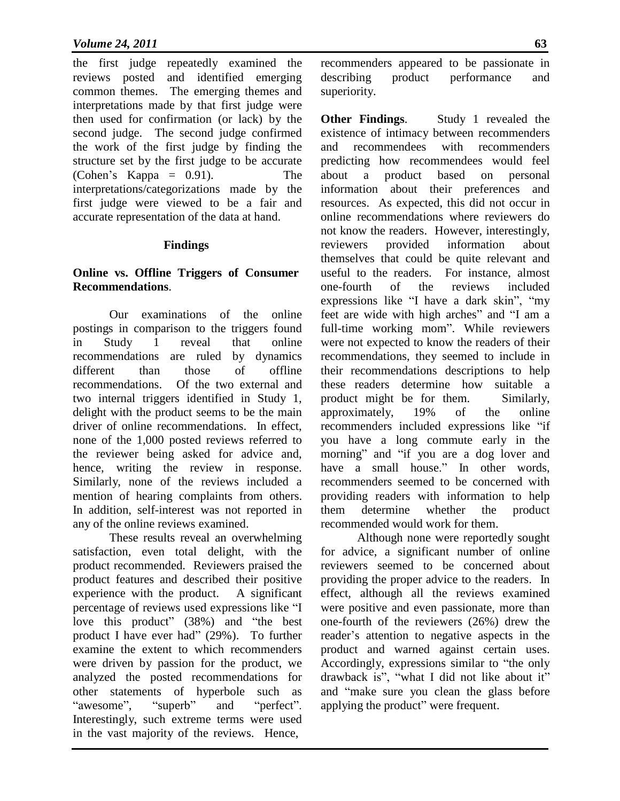the first judge repeatedly examined the reviews posted and identified emerging common themes. The emerging themes and interpretations made by that first judge were then used for confirmation (or lack) by the second judge. The second judge confirmed the work of the first judge by finding the structure set by the first judge to be accurate (Cohen's Kappa = 0.91). The interpretations/categorizations made by the first judge were viewed to be a fair and accurate representation of the data at hand.

#### **Findings**

#### **Online vs. Offline Triggers of Consumer Recommendations**.

Our examinations of the online postings in comparison to the triggers found in Study 1 reveal that online recommendations are ruled by dynamics different than those of offline recommendations. Of the two external and two internal triggers identified in Study 1, delight with the product seems to be the main driver of online recommendations. In effect, none of the 1,000 posted reviews referred to the reviewer being asked for advice and, hence, writing the review in response. Similarly, none of the reviews included a mention of hearing complaints from others. In addition, self-interest was not reported in any of the online reviews examined.

These results reveal an overwhelming satisfaction, even total delight, with the product recommended. Reviewers praised the product features and described their positive experience with the product. A significant percentage of reviews used expressions like "I love this product" (38%) and "the best product I have ever had" (29%). To further examine the extent to which recommenders were driven by passion for the product, we analyzed the posted recommendations for other statements of hyperbole such as "awesome", "superb" and "perfect". Interestingly, such extreme terms were used in the vast majority of the reviews. Hence,

recommenders appeared to be passionate in describing product performance and superiority.

**Other Findings**. Study 1 revealed the existence of intimacy between recommenders and recommendees with recommenders predicting how recommendees would feel about a product based on personal information about their preferences and resources. As expected, this did not occur in online recommendations where reviewers do not know the readers. However, interestingly, reviewers provided information about themselves that could be quite relevant and useful to the readers. For instance, almost one-fourth of the reviews included expressions like "I have a dark skin", "my feet are wide with high arches" and "I am a full-time working mom". While reviewers were not expected to know the readers of their recommendations, they seemed to include in their recommendations descriptions to help these readers determine how suitable a product might be for them. Similarly, approximately, 19% of the online recommenders included expressions like "if you have a long commute early in the morning" and "if you are a dog lover and have a small house." In other words, recommenders seemed to be concerned with providing readers with information to help them determine whether the product recommended would work for them.

Although none were reportedly sought for advice, a significant number of online reviewers seemed to be concerned about providing the proper advice to the readers. In effect, although all the reviews examined were positive and even passionate, more than one-fourth of the reviewers (26%) drew the reader's attention to negative aspects in the product and warned against certain uses. Accordingly, expressions similar to "the only drawback is", "what I did not like about it" and "make sure you clean the glass before applying the product" were frequent.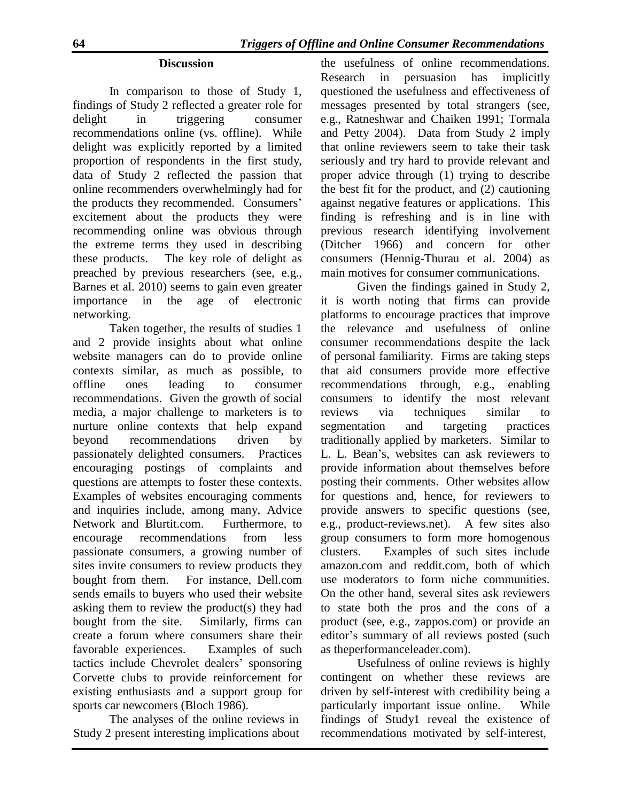#### **Discussion**

In comparison to those of Study 1, findings of Study 2 reflected a greater role for delight in triggering consumer recommendations online (vs. offline). While delight was explicitly reported by a limited proportion of respondents in the first study, data of Study 2 reflected the passion that online recommenders overwhelmingly had for the products they recommended. Consumers' excitement about the products they were recommending online was obvious through the extreme terms they used in describing these products. The key role of delight as preached by previous researchers (see, e.g., Barnes et al. 2010) seems to gain even greater importance in the age of electronic networking.

Taken together, the results of studies 1 and 2 provide insights about what online website managers can do to provide online contexts similar, as much as possible, to offline ones leading to consumer recommendations. Given the growth of social media, a major challenge to marketers is to nurture online contexts that help expand beyond recommendations driven by passionately delighted consumers. Practices encouraging postings of complaints and questions are attempts to foster these contexts. Examples of websites encouraging comments and inquiries include, among many, Advice Network and Blurtit.com. Furthermore, to encourage recommendations from less passionate consumers, a growing number of sites invite consumers to review products they bought from them. For instance, Dell.com sends emails to buyers who used their website asking them to review the product(s) they had bought from the site. Similarly, firms can create a forum where consumers share their favorable experiences. Examples of such tactics include Chevrolet dealers' sponsoring Corvette clubs to provide reinforcement for existing enthusiasts and a support group for sports car newcomers (Bloch 1986).

The analyses of the online reviews in Study 2 present interesting implications about the usefulness of online recommendations. Research in persuasion has implicitly questioned the usefulness and effectiveness of messages presented by total strangers (see, e.g., Ratneshwar and Chaiken 1991; Tormala and Petty 2004). Data from Study 2 imply that online reviewers seem to take their task seriously and try hard to provide relevant and proper advice through (1) trying to describe the best fit for the product, and (2) cautioning against negative features or applications. This finding is refreshing and is in line with previous research identifying involvement (Ditcher 1966) and concern for other consumers (Hennig-Thurau et al. 2004) as main motives for consumer communications.

Given the findings gained in Study 2, it is worth noting that firms can provide platforms to encourage practices that improve the relevance and usefulness of online consumer recommendations despite the lack of personal familiarity. Firms are taking steps that aid consumers provide more effective recommendations through, e.g., enabling consumers to identify the most relevant reviews via techniques similar to segmentation and targeting practices traditionally applied by marketers. Similar to L. L. Bean's, websites can ask reviewers to provide information about themselves before posting their comments. Other websites allow for questions and, hence, for reviewers to provide answers to specific questions (see, e.g., product-reviews.net). A few sites also group consumers to form more homogenous clusters. Examples of such sites include amazon.com and reddit.com, both of which use moderators to form niche communities. On the other hand, several sites ask reviewers to state both the pros and the cons of a product (see, e.g., zappos.com) or provide an editor's summary of all reviews posted (such as theperformanceleader.com).

Usefulness of online reviews is highly contingent on whether these reviews are driven by self-interest with credibility being a particularly important issue online. While findings of Study1 reveal the existence of recommendations motivated by self-interest,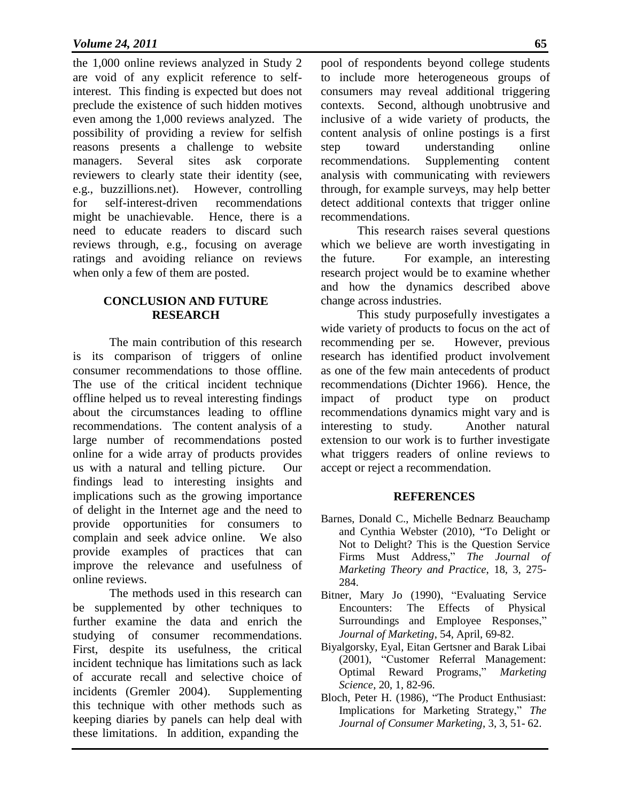the 1,000 online reviews analyzed in Study 2 are void of any explicit reference to selfinterest. This finding is expected but does not preclude the existence of such hidden motives even among the 1,000 reviews analyzed. The possibility of providing a review for selfish reasons presents a challenge to website managers. Several sites ask corporate reviewers to clearly state their identity (see, e.g., buzzillions.net). However, controlling for self-interest-driven recommendations might be unachievable. Hence, there is a need to educate readers to discard such reviews through, e.g., focusing on average ratings and avoiding reliance on reviews when only a few of them are posted.

#### **CONCLUSION AND FUTURE RESEARCH**

The main contribution of this research is its comparison of triggers of online consumer recommendations to those offline. The use of the critical incident technique offline helped us to reveal interesting findings about the circumstances leading to offline recommendations. The content analysis of a large number of recommendations posted online for a wide array of products provides us with a natural and telling picture. Our findings lead to interesting insights and implications such as the growing importance of delight in the Internet age and the need to provide opportunities for consumers to complain and seek advice online. We also provide examples of practices that can improve the relevance and usefulness of online reviews.

The methods used in this research can be supplemented by other techniques to further examine the data and enrich the studying of consumer recommendations. First, despite its usefulness, the critical incident technique has limitations such as lack of accurate recall and selective choice of incidents (Gremler 2004). Supplementing this technique with other methods such as keeping diaries by panels can help deal with these limitations. In addition, expanding the

pool of respondents beyond college students to include more heterogeneous groups of consumers may reveal additional triggering contexts. Second, although unobtrusive and inclusive of a wide variety of products, the content analysis of online postings is a first step toward understanding online recommendations. Supplementing content analysis with communicating with reviewers through, for example surveys, may help better detect additional contexts that trigger online recommendations.

This research raises several questions which we believe are worth investigating in the future. For example, an interesting research project would be to examine whether and how the dynamics described above change across industries.

This study purposefully investigates a wide variety of products to focus on the act of recommending per se. However, previous research has identified product involvement as one of the few main antecedents of product recommendations (Dichter 1966). Hence, the impact of product type on product recommendations dynamics might vary and is interesting to study. Another natural extension to our work is to further investigate what triggers readers of online reviews to accept or reject a recommendation.

#### **REFERENCES**

- Barnes, Donald C., Michelle Bednarz Beauchamp and Cynthia Webster (2010), "To Delight or Not to Delight? This is the Question Service Firms Must Address," *The Journal of Marketing Theory and Practice*, 18, 3, 275- 284.
- Bitner, Mary Jo (1990), "Evaluating Service Encounters: The Effects of Physical Surroundings and Employee Responses," *Journal of Marketing*, 54, April, 69-82.
- Biyalgorsky, Eyal, Eitan Gertsner and Barak Libai (2001), "Customer Referral Management: Optimal Reward Programs," *Marketing Science*, 20, 1, 82-96.
- Bloch, Peter H. (1986), "The Product Enthusiast: Implications for Marketing Strategy," *The Journal of Consumer Marketing*, 3, 3, 51- 62.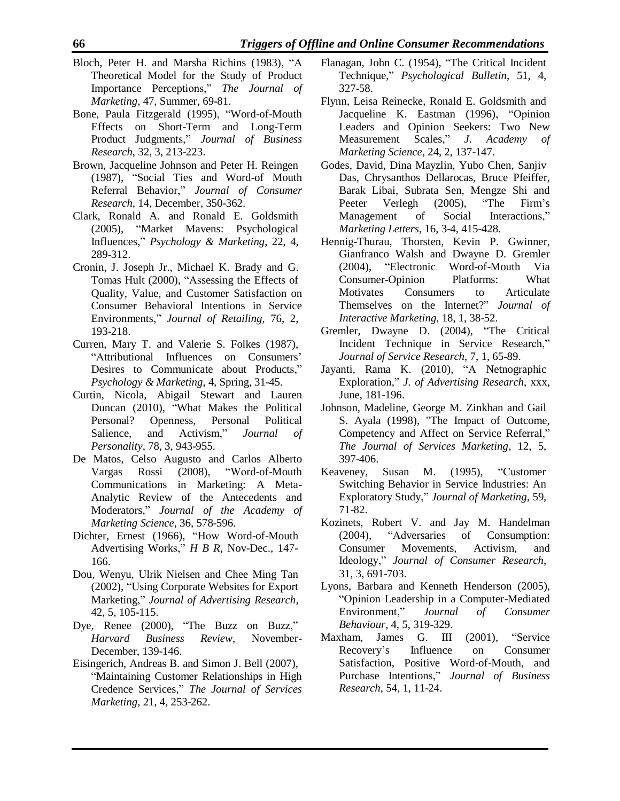- Bloch, Peter H. and Marsha Richins (1983), "A Theoretical Model for the Study of Product Importance Perceptions," *The Journal of Marketing*, 47, Summer, 69-81.
- Bone, Paula Fitzgerald (1995), "Word-of-Mouth Effects on Short-Term and Long-Term Product Judgments," *Journal of Business Research*, 32, 3, 213-223.
- Brown, Jacqueline Johnson and Peter H. Reingen (1987), "Social Ties and Word-of Mouth Referral Behavior," *Journal of Consumer Research*, 14, December, 350-362.
- Clark, Ronald A. and Ronald E. Goldsmith (2005), "Market Mavens: Psychological Influences," *Psychology & Marketing*, 22, 4, 289-312.
- Cronin, J. Joseph Jr., Michael K. Brady and G. Tomas Hult (2000), "Assessing the Effects of Quality, Value, and Customer Satisfaction on Consumer Behavioral Intentions in Service Environments," *Journal of Retailing*, 76, 2, 193-218.
- Curren, Mary T. and Valerie S. Folkes (1987), "Attributional Influences on Consumers' Desires to Communicate about Products," *Psychology & Marketing*, 4, Spring, 31-45.
- Curtin, Nicola, Abigail Stewart and Lauren Duncan (2010), "What Makes the Political Personal? Openness, Personal Political Salience, and Activism," *Journal of Personality*, 78, 3, 943-955.
- De Matos, Celso Augusto and Carlos Alberto Vargas Rossi (2008), "Word-of-Mouth Communications in Marketing: A Meta-Analytic Review of the Antecedents and Moderators," *Journal of the Academy of Marketing Science*, 36, 578-596.
- Dichter, Ernest (1966), "How Word-of-Mouth Advertising Works," *H B R*, Nov-Dec., 147- 166.
- Dou, Wenyu, Ulrik Nielsen and Chee Ming Tan (2002), "Using Corporate Websites for Export Marketing," *Journal of Advertising Research*, 42, 5, 105-115.
- Dye, Renee (2000), "The Buzz on Buzz," *Harvard Business Review*, November-December, 139-146.
- Eisingerich, Andreas B. and Simon J. Bell (2007), "Maintaining Customer Relationships in High Credence Services," *The Journal of Services Marketing*, 21, 4, 253-262.
- Flanagan, John C. (1954), "The Critical Incident Technique," *Psychological Bulletin*, 51, 4, 327-58.
- Flynn, Leisa Reinecke, Ronald E. Goldsmith and Jacqueline K. Eastman (1996), "Opinion Leaders and Opinion Seekers: Two New Measurement Scales," *J*. *Academy of Marketing Science*, 24, 2, 137-147.
- Godes, David, Dina Mayzlin, Yubo Chen, Sanjiv Das, Chrysanthos Dellarocas, Bruce Pfeiffer, Barak Libai, Subrata Sen, Mengze Shi and Peeter Verlegh (2005), "The Firm's Management of Social Interactions," *Marketing Letters*, 16, 3-4, 415-428.
- Hennig-Thurau, Thorsten, Kevin P. Gwinner, Gianfranco Walsh and Dwayne D. Gremler (2004), "Electronic Word-of-Mouth Via Consumer-Opinion Platforms: What Motivates Consumers to Articulate Themselves on the Internet?" *Journal of Interactive Marketing*, 18, 1, 38-52.
- Gremler, Dwayne D. (2004), "The Critical Incident Technique in Service Research," *Journal of Service Research*, 7, 1, 65-89.
- Jayanti, Rama K. (2010), "A Netnographic Exploration," *J. of Advertising Research*, xxx, June, 181-196.
- Johnson, Madeline, George M. Zinkhan and Gail S. Ayala (1998), "The Impact of Outcome, Competency and Affect on Service Referral," *The Journal of Services Marketing*, 12, 5, 397-406.
- Keaveney, Susan M. (1995), "Customer Switching Behavior in Service Industries: An Exploratory Study," *Journal of Marketing*, 59, 71-82.
- Kozinets, Robert V. and Jay M. Handelman (2004), "Adversaries of Consumption: Consumer Movements, Activism, and Ideology," *Journal of Consumer Research*, 31, 3, 691-703.
- Lyons, Barbara and Kenneth Henderson (2005), "Opinion Leadership in a Computer-Mediated Environment," *Journal of Consumer Behaviour*, 4, 5, 319-329.
- Maxham, James G. III (2001), "Service Recovery's Influence on Consumer Satisfaction, Positive Word-of-Mouth, and Purchase Intentions," *Journal of Business Research*, 54, 1, 11-24.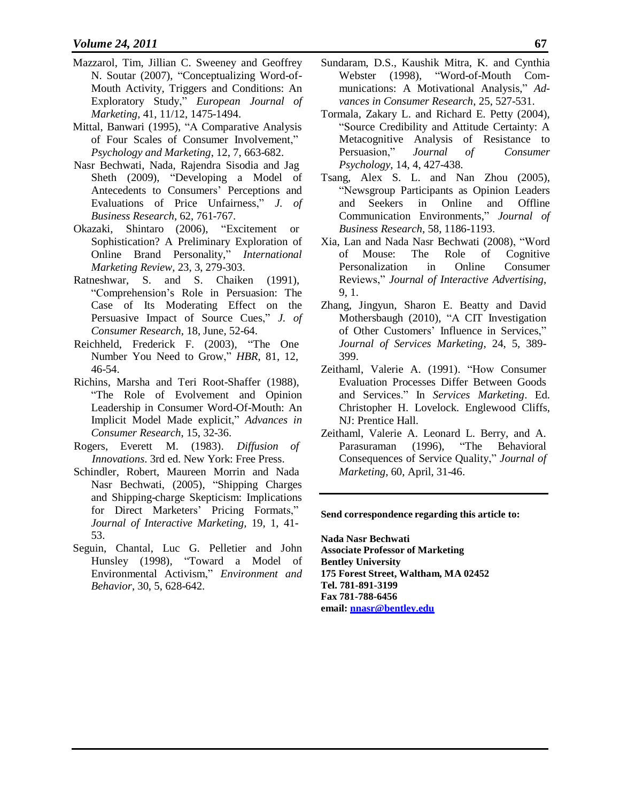- Mazzarol, Tim, Jillian C. Sweeney and Geoffrey N. Soutar (2007), "Conceptualizing Word-of-Mouth Activity, Triggers and Conditions: An Exploratory Study," *European Journal of Marketing*, 41, 11/12, 1475-1494.
- Mittal, Banwari (1995), "A Comparative Analysis of Four Scales of Consumer Involvement," *Psychology and Marketing*, 12, 7, 663-682.
- Nasr Bechwati, Nada, Rajendra Sisodia and Jag Sheth (2009), "Developing a Model of Antecedents to Consumers' Perceptions and Evaluations of Price Unfairness," *J. of Business Research*, 62, 761-767.
- Okazaki, Shintaro (2006), "Excitement or Sophistication? A Preliminary Exploration of Online Brand Personality," *International Marketing Review*, 23, 3, 279-303.
- Ratneshwar, S. and S. Chaiken (1991), "Comprehension's Role in Persuasion: The Case of Its Moderating Effect on the Persuasive Impact of Source Cues," *J. of Consumer Research*, 18, June, 52-64.
- Reichheld, Frederick F. (2003), "The One Number You Need to Grow," *HBR*, 81, 12, 46-54.
- Richins, Marsha and Teri Root-Shaffer (1988), "The Role of Evolvement and Opinion Leadership in Consumer Word-Of-Mouth: An Implicit Model Made explicit," *Advances in Consumer Research*, 15, 32-36.
- Rogers, Everett M. (1983). *Diffusion of Innovations*. 3rd ed. New York: Free Press.
- Schindler, Robert, Maureen Morrin and Nada Nasr Bechwati, (2005), "Shipping Charges and Shipping-charge Skepticism: Implications for Direct Marketers' Pricing Formats," *Journal of Interactive Marketing,* 19, 1, 41- 53.
- Seguin, Chantal, Luc G. Pelletier and John Hunsley (1998), "Toward a Model of Environmental Activism," *Environment and Behavior*, 30, 5, 628-642.
- Sundaram, D.S., Kaushik Mitra, K. and Cynthia Webster (1998), "Word-of-Mouth Communications: A Motivational Analysis," *Advances in Consumer Research*, 25, 527-531.
- Tormala, Zakary L. and Richard E. Petty (2004), "Source Credibility and Attitude Certainty: A Metacognitive Analysis of Resistance to Persuasion," *Journal of Consumer Psychology*, 14, 4, 427-438.
- Tsang, Alex S. L. and Nan Zhou (2005), "Newsgroup Participants as Opinion Leaders and Seekers in Online and Offline Communication Environments," *Journal of Business Research*, 58, 1186-1193.
- Xia, Lan and Nada Nasr Bechwati (2008), "Word of Mouse: The Role of Cognitive Personalization in Online Consumer Reviews," *Journal of Interactive Advertising*, 9, 1.
- Zhang, Jingyun, Sharon E. Beatty and David Mothersbaugh (2010), "A CIT Investigation of Other Customers' Influence in Services," *Journal of Services Marketing*, 24, 5, 389- 399.
- Zeithaml, Valerie A. (1991). "How Consumer Evaluation Processes Differ Between Goods and Services." In *Services Marketing*. Ed. Christopher H. Lovelock. Englewood Cliffs, NJ: Prentice Hall.
- Zeithaml, Valerie A. Leonard L. Berry, and A. Parasuraman (1996), "The Behavioral Consequences of Service Quality," *Journal of Marketing*, 60, April, 31-46.

#### **Send correspondence regarding this article to:**

**Nada Nasr Bechwati Associate Professor of Marketing Bentley University 175 Forest Street, Waltham, MA 02452 Tel. 781-891-3199 Fax 781-788-6456 email: [nnasr@bentley.edu](mailto:nnasr@bentley.edu)**